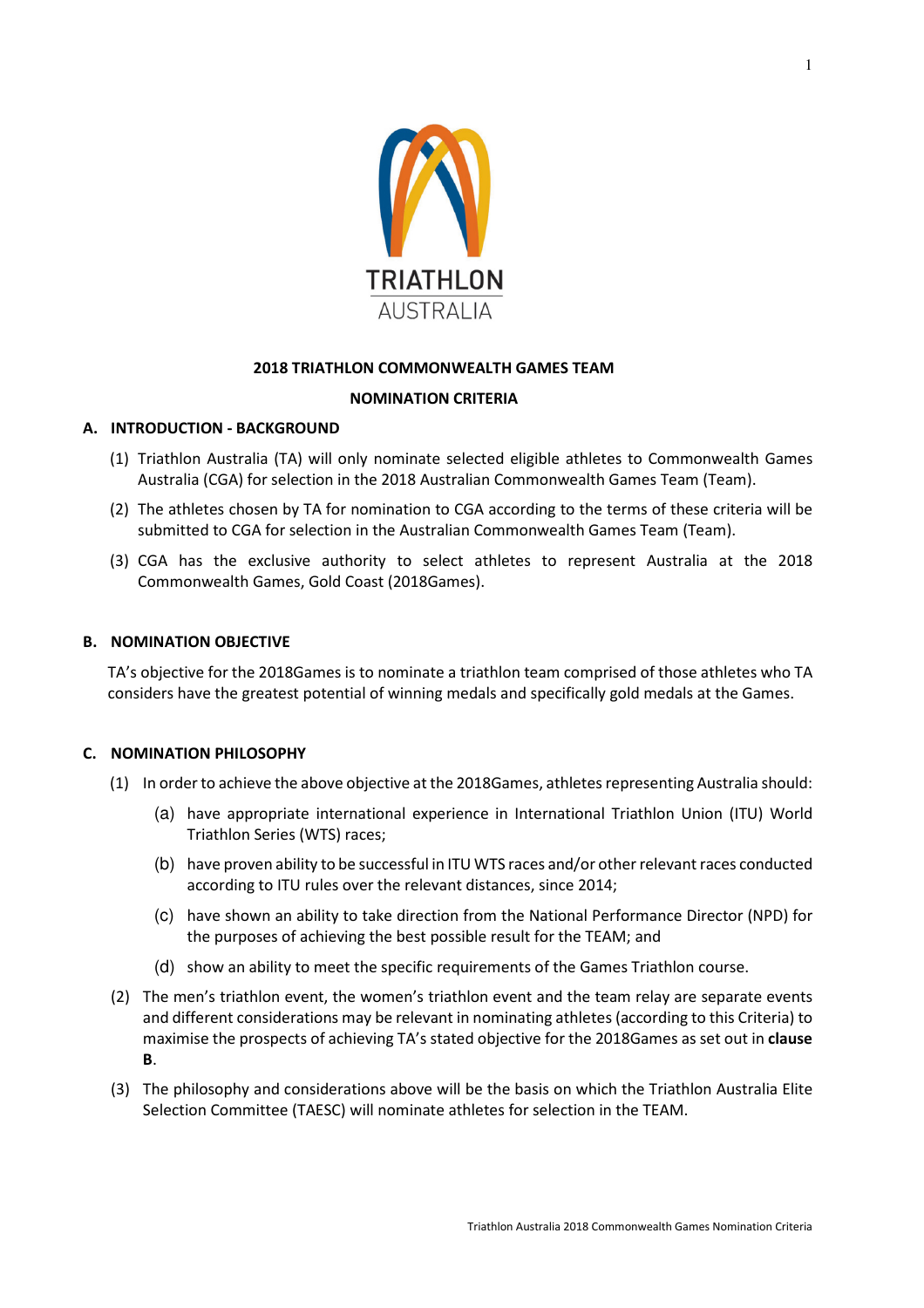

# **2018 TRIATHLON COMMONWEALTH GAMES TEAM**

# **NOMINATION CRITERIA**

# **A. INTRODUCTION - BACKGROUND**

- (1) Triathlon Australia (TA) will only nominate selected eligible athletes to Commonwealth Games Australia (CGA) for selection in the 2018 Australian Commonwealth Games Team (Team).
- (2) The athletes chosen by TA for nomination to CGA according to the terms of these criteria will be submitted to CGA for selection in the Australian Commonwealth Games Team (Team).
- (3) CGA has the exclusive authority to select athletes to represent Australia at the 2018 Commonwealth Games, Gold Coast (2018Games).

#### **B. NOMINATION OBJECTIVE**

TA's objective for the 2018Games is to nominate a triathlon team comprised of those athletes who TA considers have the greatest potential of winning medals and specifically gold medals at the Games.

#### **C. NOMINATION PHILOSOPHY**

- (1) In order to achieve the above objective at the 2018Games, athletes representing Australia should:
	- (a) have appropriate international experience in International Triathlon Union (ITU) World Triathlon Series (WTS) races;
	- (b) have proven ability to be successful in ITU WTS races and/or other relevant races conducted according to ITU rules over the relevant distances, since 2014;
	- (c) have shown an ability to take direction from the National Performance Director (NPD) for the purposes of achieving the best possible result for the TEAM; and
	- (d) show an ability to meet the specific requirements of the Games Triathlon course.
- (2) The men's triathlon event, the women's triathlon event and the team relay are separate events and different considerations may be relevant in nominating athletes (according to this Criteria) to maximise the prospects of achieving TA's stated objective for the 2018Games as set out in **clause B**.
- (3) The philosophy and considerations above will be the basis on which the Triathlon Australia Elite Selection Committee (TAESC) will nominate athletes for selection in the TEAM.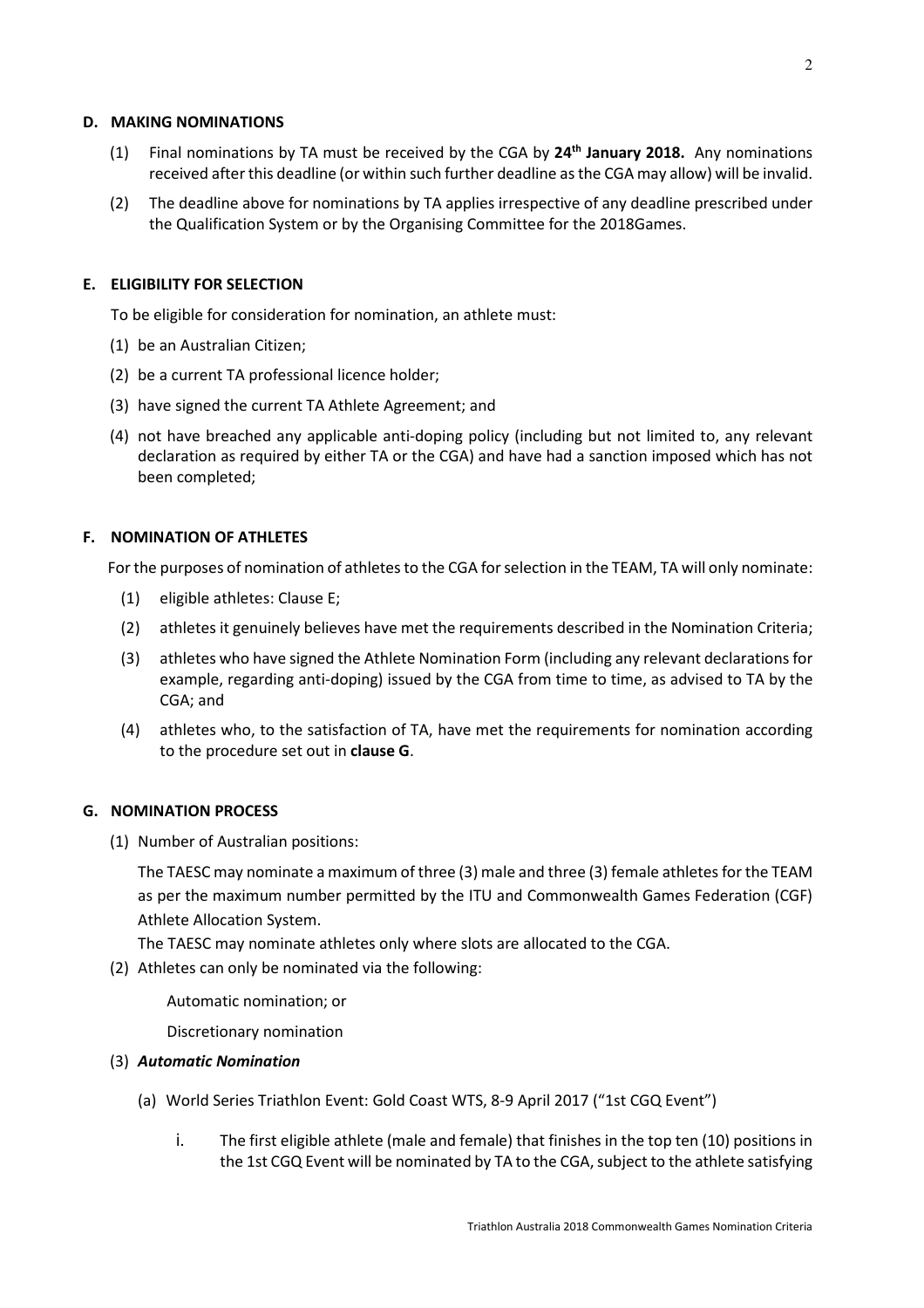#### **D. MAKING NOMINATIONS**

- (1) Final nominations by TA must be received by the CGA by **24th January 2018.** Any nominations received after this deadline (or within such further deadline as the CGA may allow) will be invalid.
- (2) The deadline above for nominations by TA applies irrespective of any deadline prescribed under the Qualification System or by the Organising Committee for the 2018Games.

# **E. ELIGIBILITY FOR SELECTION**

To be eligible for consideration for nomination, an athlete must:

- (1) be an Australian Citizen;
- (2) be a current TA professional licence holder;
- (3) have signed the current TA Athlete Agreement; and
- (4) not have breached any applicable anti-doping policy (including but not limited to, any relevant declaration as required by either TA or the CGA) and have had a sanction imposed which has not been completed;

# **F. NOMINATION OF ATHLETES**

For the purposes of nomination of athletes to the CGA for selection in the TEAM, TA will only nominate:

- (1) eligible athletes: Clause E;
- (2) athletes it genuinely believes have met the requirements described in the Nomination Criteria;
- (3) athletes who have signed the Athlete Nomination Form (including any relevant declarations for example, regarding anti-doping) issued by the CGA from time to time, as advised to TA by the CGA; and
- (4) athletes who, to the satisfaction of TA, have met the requirements for nomination according to the procedure set out in **clause G**.

#### **G. NOMINATION PROCESS**

(1) Number of Australian positions:

The TAESC may nominate a maximum of three (3) male and three (3) female athletes for the TEAM as per the maximum number permitted by the ITU and Commonwealth Games Federation (CGF) Athlete Allocation System.

The TAESC may nominate athletes only where slots are allocated to the CGA.

(2) Athletes can only be nominated via the following:

Automatic nomination; or

Discretionary nomination

#### (3) *Automatic Nomination*

- (a) World Series Triathlon Event: Gold Coast WTS, 8-9 April 2017 ("1st CGQ Event")
	- i. The first eligible athlete (male and female) that finishes in the top ten (10) positions in the 1st CGQ Event will be nominated by TA to the CGA, subject to the athlete satisfying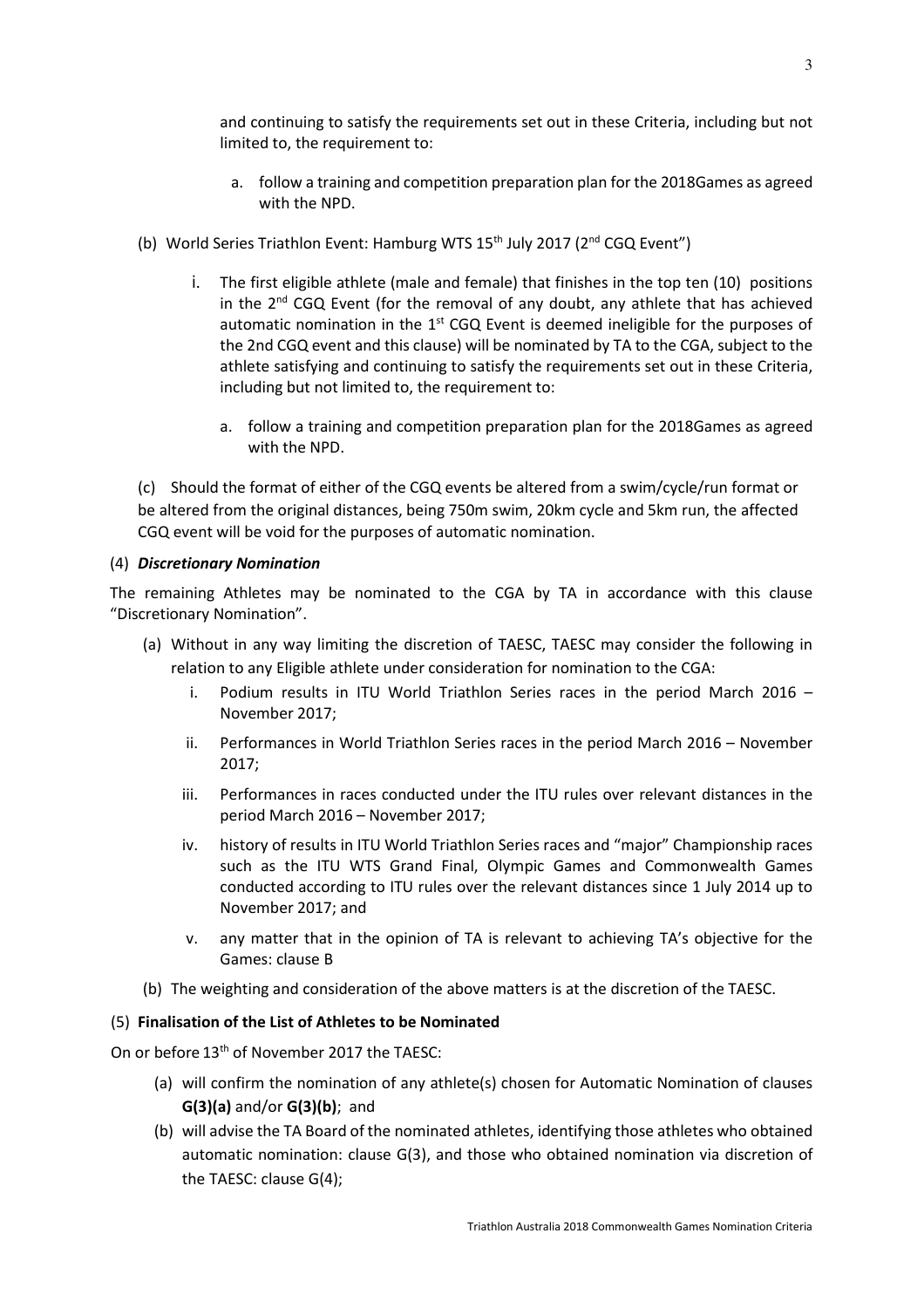and continuing to satisfy the requirements set out in these Criteria, including but not limited to, the requirement to:

- a. follow a training and competition preparation plan for the 2018Games as agreed with the NPD.
- (b) World Series Triathlon Event: Hamburg WTS 15<sup>th</sup> July 2017 (2<sup>nd</sup> CGQ Event")
	- i. The first eligible athlete (male and female) that finishes in the top ten (10) positions in the  $2^{nd}$  CGQ Event (for the removal of any doubt, any athlete that has achieved automatic nomination in the 1<sup>st</sup> CGQ Event is deemed ineligible for the purposes of the 2nd CGQ event and this clause) will be nominated by TA to the CGA, subject to the athlete satisfying and continuing to satisfy the requirements set out in these Criteria, including but not limited to, the requirement to:
		- a. follow a training and competition preparation plan for the 2018Games as agreed with the NPD.

(c) Should the format of either of the CGQ events be altered from a swim/cycle/run format or be altered from the original distances, being 750m swim, 20km cycle and 5km run, the affected CGQ event will be void for the purposes of automatic nomination.

# (4) *Discretionary Nomination*

The remaining Athletes may be nominated to the CGA by TA in accordance with this clause "Discretionary Nomination".

- (a) Without in any way limiting the discretion of TAESC, TAESC may consider the following in relation to any Eligible athlete under consideration for nomination to the CGA:
	- i. Podium results in ITU World Triathlon Series races in the period March 2016 November 2017;
	- ii. Performances in World Triathlon Series races in the period March 2016 November 2017;
	- iii. Performances in races conducted under the ITU rules over relevant distances in the period March 2016 – November 2017;
	- iv. history of results in ITU World Triathlon Series races and "major" Championship races such as the ITU WTS Grand Final, Olympic Games and Commonwealth Games conducted according to ITU rules over the relevant distances since 1 July 2014 up to November 2017; and
	- v. any matter that in the opinion of TA is relevant to achieving TA's objective for the Games: clause B
- (b) The weighting and consideration of the above matters is at the discretion of the TAESC.

# (5) **Finalisation of the List of Athletes to be Nominated**

On or before 13th of November 2017 the TAESC:

- (a) will confirm the nomination of any athlete(s) chosen for Automatic Nomination of clauses **G(3)(a)** and/or **G(3)(b)**; and
- (b) will advise the TA Board of the nominated athletes, identifying those athletes who obtained automatic nomination: clause G(3), and those who obtained nomination via discretion of the TAESC: clause G(4);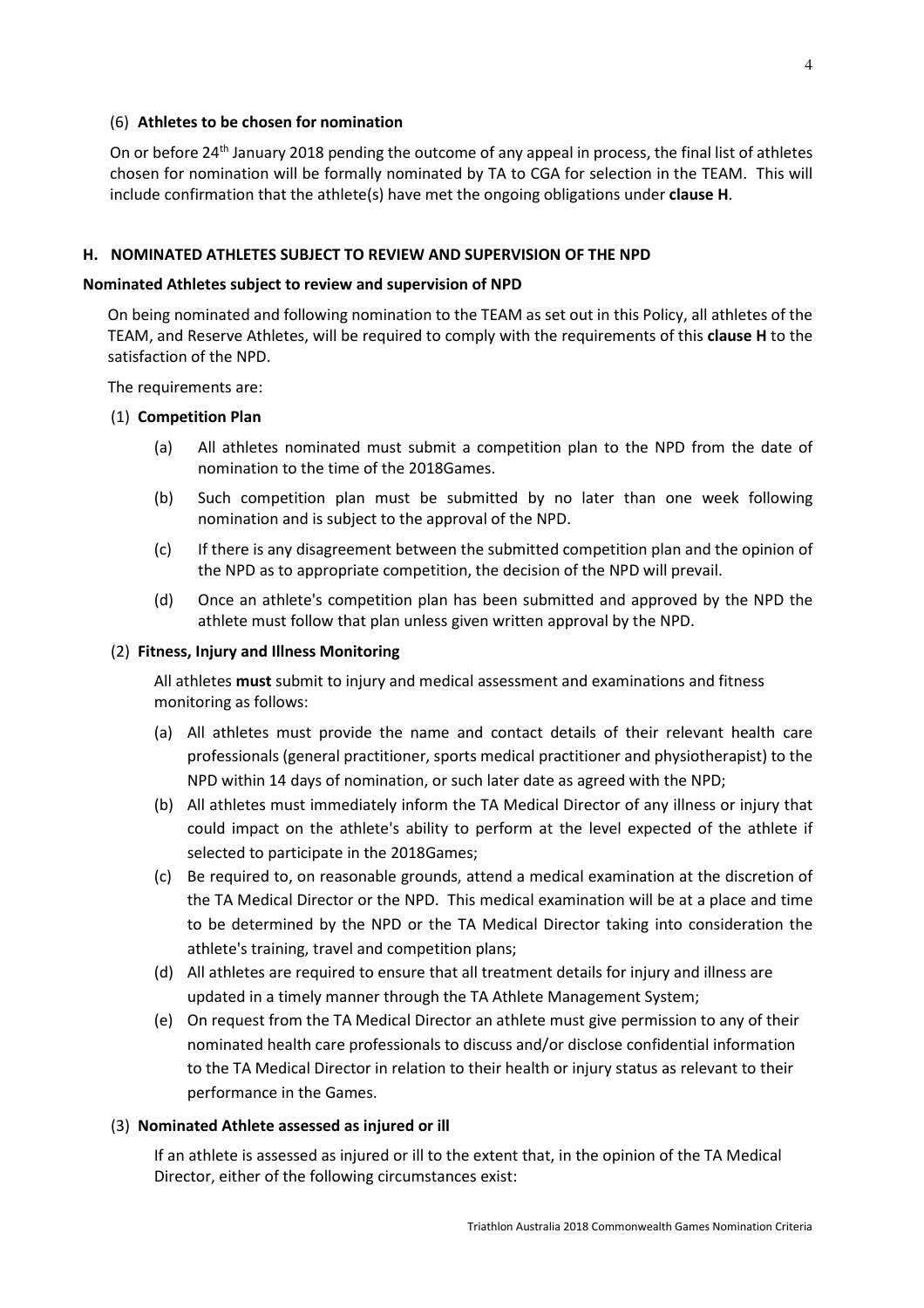#### (6) **Athletes to be chosen for nomination**

On or before 24<sup>th</sup> January 2018 pending the outcome of any appeal in process, the final list of athletes chosen for nomination will be formally nominated by TA to CGA for selection in the TEAM. This will include confirmation that the athlete(s) have met the ongoing obligations under **clause H**.

## **H. NOMINATED ATHLETES SUBJECT TO REVIEW AND SUPERVISION OF THE NPD**

#### **Nominated Athletes subject to review and supervision of NPD**

On being nominated and following nomination to the TEAM as set out in this Policy, all athletes of the TEAM, and Reserve Athletes, will be required to comply with the requirements of this **clause H** to the satisfaction of the NPD.

The requirements are:

### (1) **Competition Plan**

- (a) All athletes nominated must submit a competition plan to the NPD from the date of nomination to the time of the 2018Games.
- (b) Such competition plan must be submitted by no later than one week following nomination and is subject to the approval of the NPD.
- (c) If there is any disagreement between the submitted competition plan and the opinion of the NPD as to appropriate competition, the decision of the NPD will prevail.
- (d) Once an athlete's competition plan has been submitted and approved by the NPD the athlete must follow that plan unless given written approval by the NPD.

#### (2) **Fitness, Injury and Illness Monitoring**

All athletes **must** submit to injury and medical assessment and examinations and fitness monitoring as follows:

- (a) All athletes must provide the name and contact details of their relevant health care professionals (general practitioner, sports medical practitioner and physiotherapist) to the NPD within 14 days of nomination, or such later date as agreed with the NPD;
- (b) All athletes must immediately inform the TA Medical Director of any illness or injury that could impact on the athlete's ability to perform at the level expected of the athlete if selected to participate in the 2018Games;
- (c) Be required to, on reasonable grounds, attend a medical examination at the discretion of the TA Medical Director or the NPD. This medical examination will be at a place and time to be determined by the NPD or the TA Medical Director taking into consideration the athlete's training, travel and competition plans;
- (d) All athletes are required to ensure that all treatment details for injury and illness are updated in a timely manner through the TA Athlete Management System;
- (e) On request from the TA Medical Director an athlete must give permission to any of their nominated health care professionals to discuss and/or disclose confidential information to the TA Medical Director in relation to their health or injury status as relevant to their performance in the Games.

#### (3) **Nominated Athlete assessed as injured or ill**

If an athlete is assessed as injured or ill to the extent that, in the opinion of the TA Medical Director, either of the following circumstances exist: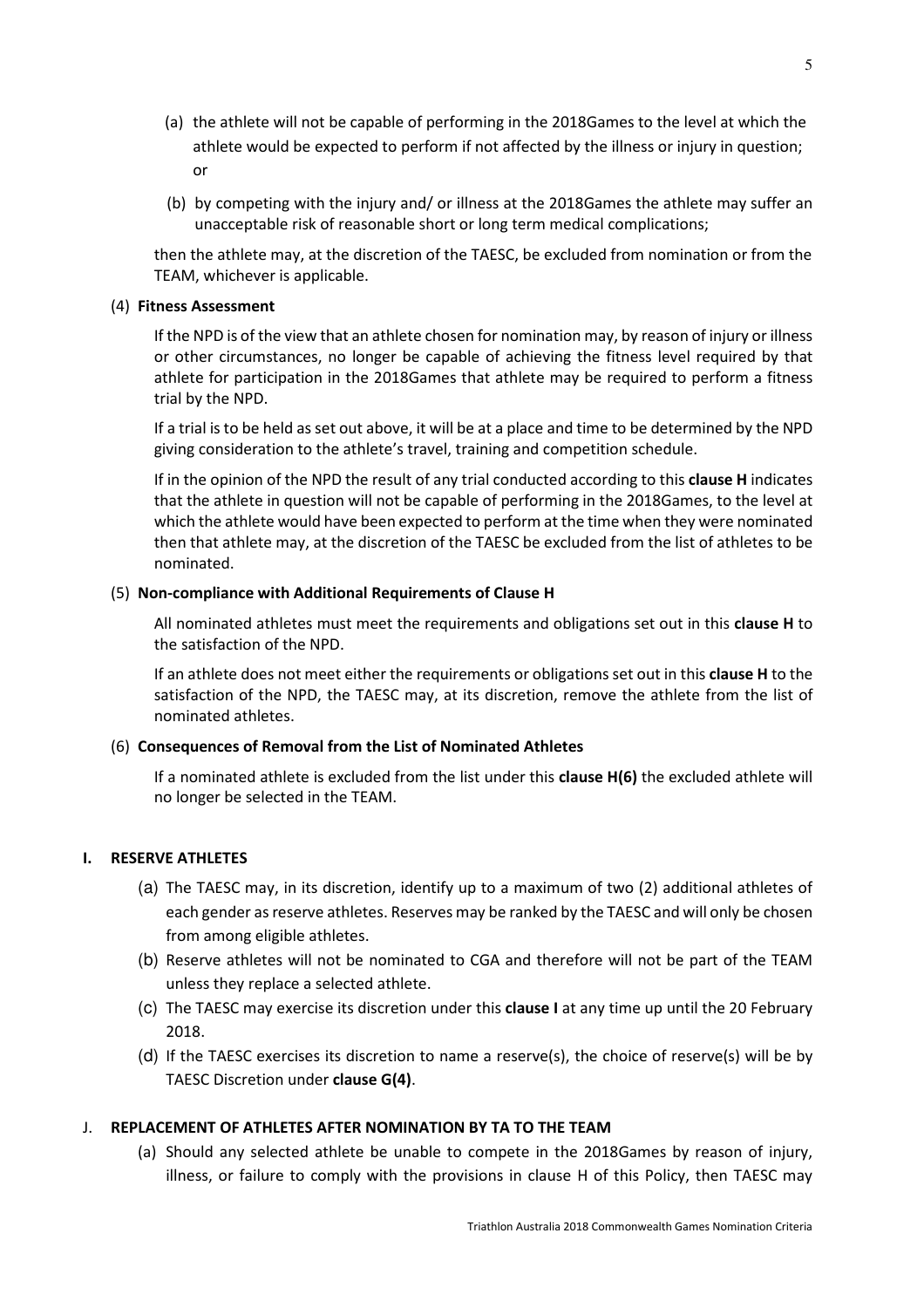- (a) the athlete will not be capable of performing in the 2018Games to the level at which the athlete would be expected to perform if not affected by the illness or injury in question; or
- (b) by competing with the injury and/ or illness at the 2018Games the athlete may suffer an unacceptable risk of reasonable short or long term medical complications;

then the athlete may, at the discretion of the TAESC, be excluded from nomination or from the TEAM, whichever is applicable.

#### (4) **Fitness Assessment**

If the NPD is of the view that an athlete chosen for nomination may, by reason of injury or illness or other circumstances, no longer be capable of achieving the fitness level required by that athlete for participation in the 2018Games that athlete may be required to perform a fitness trial by the NPD.

If a trial is to be held as set out above, it will be at a place and time to be determined by the NPD giving consideration to the athlete's travel, training and competition schedule.

If in the opinion of the NPD the result of any trial conducted according to this **clause H** indicates that the athlete in question will not be capable of performing in the 2018Games, to the level at which the athlete would have been expected to perform at the time when they were nominated then that athlete may, at the discretion of the TAESC be excluded from the list of athletes to be nominated.

### (5) **Non-compliance with Additional Requirements of Clause H**

All nominated athletes must meet the requirements and obligations set out in this **clause H** to the satisfaction of the NPD.

If an athlete does not meet either the requirements or obligations set out in this **clause H** to the satisfaction of the NPD, the TAESC may, at its discretion, remove the athlete from the list of nominated athletes.

# (6) **Consequences of Removal from the List of Nominated Athletes**

If a nominated athlete is excluded from the list under this **clause H(6)** the excluded athlete will no longer be selected in the TEAM.

# **I. RESERVE ATHLETES**

- (a) The TAESC may, in its discretion, identify up to a maximum of two (2) additional athletes of each gender as reserve athletes. Reserves may be ranked by the TAESC and will only be chosen from among eligible athletes.
- (b) Reserve athletes will not be nominated to CGA and therefore will not be part of the TEAM unless they replace a selected athlete.
- (c) The TAESC may exercise its discretion under this **clause I** at any time up until the 20 February 2018.
- (d) If the TAESC exercises its discretion to name a reserve(s), the choice of reserve(s) will be by TAESC Discretion under **clause G(4)**.

# J. **REPLACEMENT OF ATHLETES AFTER NOMINATION BY TA TO THE TEAM**

(a) Should any selected athlete be unable to compete in the 2018Games by reason of injury, illness, or failure to comply with the provisions in clause H of this Policy, then TAESC may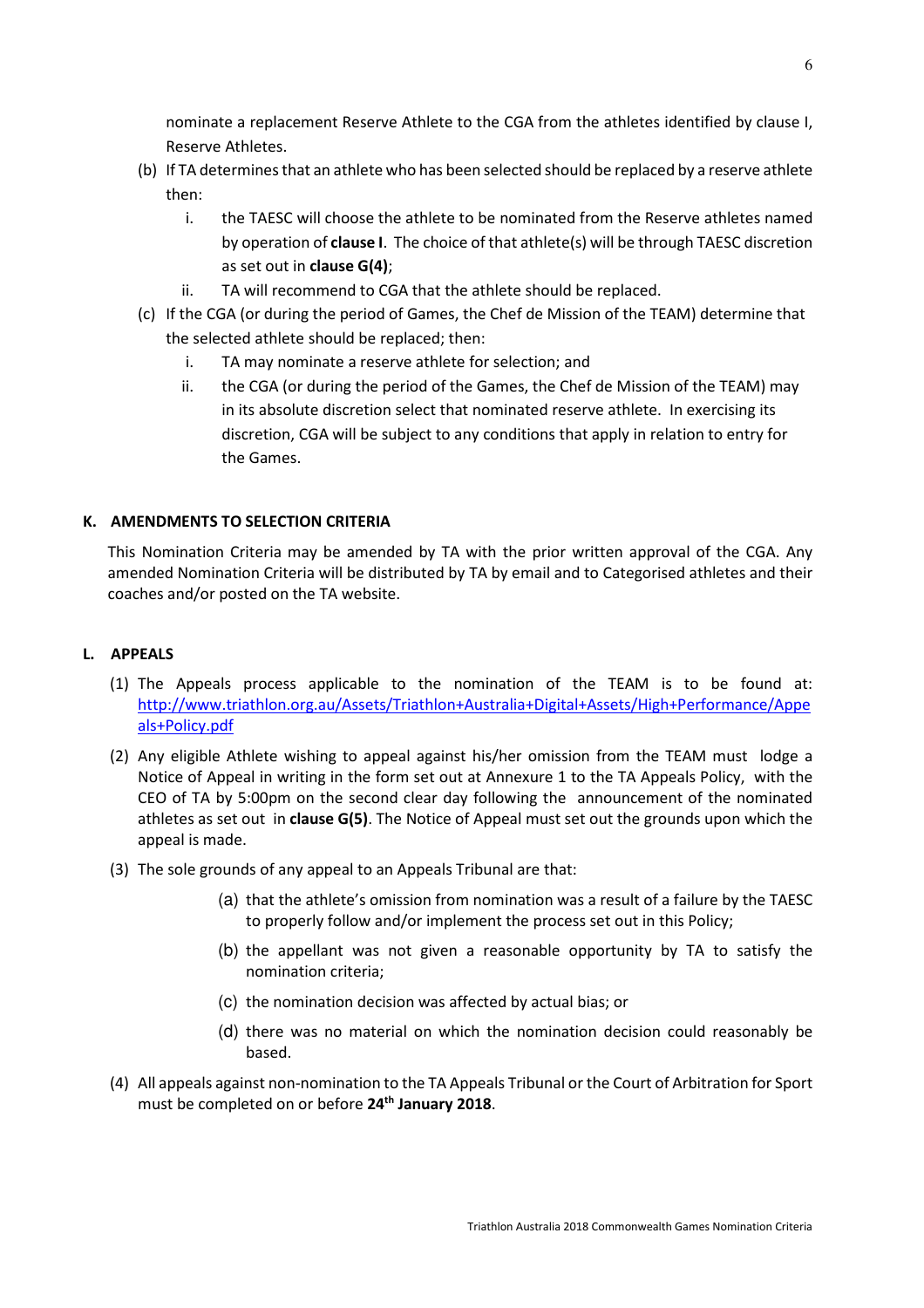nominate a replacement Reserve Athlete to the CGA from the athletes identified by clause I, Reserve Athletes.

- (b) If TA determines that an athlete who has been selected should be replaced by a reserve athlete then:
	- i. the TAESC will choose the athlete to be nominated from the Reserve athletes named by operation of **clause I**. The choice of that athlete(s) will be through TAESC discretion as set out in **clause G(4)**;
	- ii. TA will recommend to CGA that the athlete should be replaced.
- (c) If the CGA (or during the period of Games, the Chef de Mission of the TEAM) determine that the selected athlete should be replaced; then:
	- i. TA may nominate a reserve athlete for selection; and
	- ii. the CGA (or during the period of the Games, the Chef de Mission of the TEAM) may in its absolute discretion select that nominated reserve athlete. In exercising its discretion, CGA will be subject to any conditions that apply in relation to entry for the Games.

# **K. AMENDMENTS TO SELECTION CRITERIA**

This Nomination Criteria may be amended by TA with the prior written approval of the CGA. Any amended Nomination Criteria will be distributed by TA by email and to Categorised athletes and their coaches and/or posted on the TA website.

# **L. APPEALS**

- (1) The Appeals process applicable to the nomination of the TEAM is to be found at: http://www.triathlon.org.au/Assets/Triathlon+Australia+Digital+Assets/High+Performance/Appe als+Policy.pdf
- (2) Any eligible Athlete wishing to appeal against his/her omission from the TEAM must lodge a Notice of Appeal in writing in the form set out at Annexure 1 to the TA Appeals Policy, with the CEO of TA by 5:00pm on the second clear day following the announcement of the nominated athletes as set out in **clause G(5)**. The Notice of Appeal must set out the grounds upon which the appeal is made.
- (3) The sole grounds of any appeal to an Appeals Tribunal are that:
	- (a) that the athlete's omission from nomination was a result of a failure by the TAESC to properly follow and/or implement the process set out in this Policy;
	- (b) the appellant was not given a reasonable opportunity by TA to satisfy the nomination criteria;
	- (c) the nomination decision was affected by actual bias; or
	- (d) there was no material on which the nomination decision could reasonably be based.
- (4) All appeals against non-nomination to the TA Appeals Tribunal or the Court of Arbitration for Sport must be completed on or before **24th January 2018**.